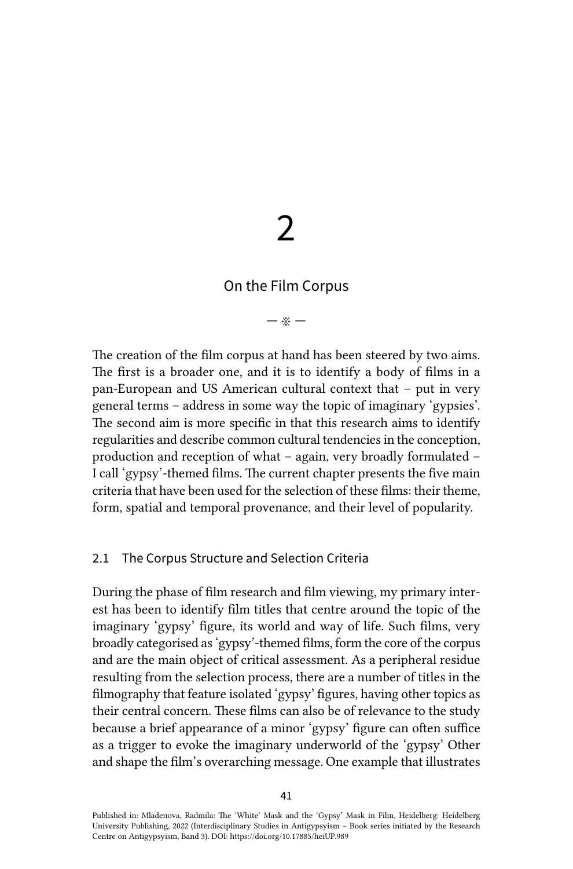# $\sum$

# On the Film Corpus

## — ※ —

The creation of the film corpus at hand has been steered by two aims. The first is a broader one, and it is to identify a body of films in a pan-European and US American cultural context that – put in very general terms – address in some way the topic of imaginary 'gypsies'. The second aim is more specific in that this research aims to identify regularities and describe common cultural tendencies in the conception, production and reception of what – again, very broadly formulated – I call 'gypsy'-themed films. The current chapter presents the five main criteria that have been used for the selection of these films: their theme, form, spatial and temporal provenance, and their level of popularity.

## 2.1 The Corpus Structure and Selection Criteria

During the phase of film research and film viewing, my primary interest has been to identify film titles that centre around the topic of the imaginary 'gypsy' figure, its world and way of life. Such films, very broadly categorised as 'gypsy'-themed films, form the core of the corpus and are the main object of critical assessment. As a peripheral residue resulting from the selection process, there are a number of titles in the filmography that feature isolated 'gypsy' figures, having other topics as their central concern. These films can also be of relevance to the study because a brief appearance of a minor 'gypsy' figure can often suffice as a trigger to evoke the imaginary underworld of the 'gypsy' Other and shape the film's overarching message. One example that illustrates

Published in: Mladenova, Radmila: The 'White' Mask and the 'Gypsy' Mask in Film, Heidelberg: Heidelberg University Publishing, 2022 (Interdisciplinary Studies in Antigypsyism – Book series initiated by the Research Centre on Antigypsyism, Band 3). DOI:<https://doi.org/10.17885/heiUP.989>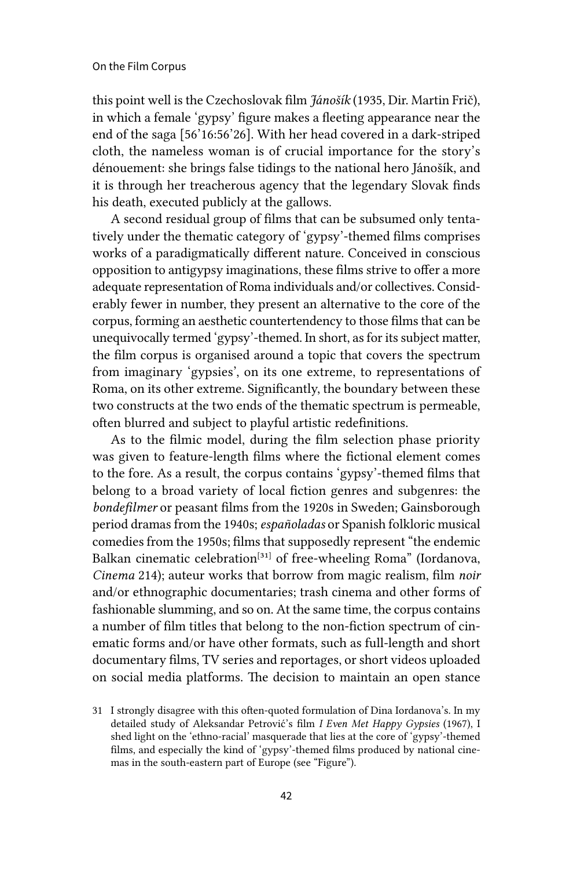this point well is the Czechoslovak film *Jánošík* (1935, Dir. Martin Frič), in which a female 'gypsy' figure makes a fleeting appearance near the end of the saga [56'16:56'26]. With her head covered in a dark-striped cloth, the nameless woman is of crucial importance for the story's dénouement: she brings false tidings to the national hero Jánošík, and it is through her treacherous agency that the legendary Slovak finds his death, executed publicly at the gallows.

A second residual group of films that can be subsumed only tentatively under the thematic category of 'gypsy'-themed films comprises works of a paradigmatically different nature. Conceived in conscious opposition to antigypsy imaginations, these films strive to offer a more adequate representation of Roma individuals and/or collectives. Considerably fewer in number, they present an alternative to the core of the corpus, forming an aesthetic countertendency to those films that can be unequivocally termed 'gypsy'-themed. In short, as for its subject matter, the film corpus is organised around a topic that covers the spectrum from imaginary 'gypsies', on its one extreme, to representations of Roma, on its other extreme. Significantly, the boundary between these two constructs at the two ends of the thematic spectrum is permeable, often blurred and subject to playful artistic redefinitions.

As to the filmic model, during the film selection phase priority was given to feature-length films where the fictional element comes to the fore. As a result, the corpus contains 'gypsy'-themed films that belong to a broad variety of local fiction genres and subgenres: the *bondefilmer* or peasant films from the 1920s in Sweden; Gainsborough period dramas from the 1940s; *españoladas* or Spanish folkloric musical comedies from the 1950s; films that supposedly represent "the endemic Balkan cinematic celebration<sup>[31]</sup> of free-wheeling Roma" (Iordanova, *Cinema* 214); auteur works that borrow from magic realism, film *noir* and/or ethnographic documentaries; trash cinema and other forms of fashionable slumming, and so on. At the same time, the corpus contains a number of film titles that belong to the non-fiction spectrum of cinematic forms and/or have other formats, such as full-length and short documentary films, TV series and reportages, or short videos uploaded on social media platforms. The decision to maintain an open stance

<sup>31</sup> I strongly disagree with this often-quoted formulation of Dina Iordanova's. In my detailed study of Aleksandar Petrović's film *I Even Met Happy Gypsies* (1967), I shed light on the 'ethno-racial' masquerade that lies at the core of 'gypsy'-themed films, and especially the kind of 'gypsy'-themed films produced by national cinemas in the south-eastern part of Europe (see "Figure").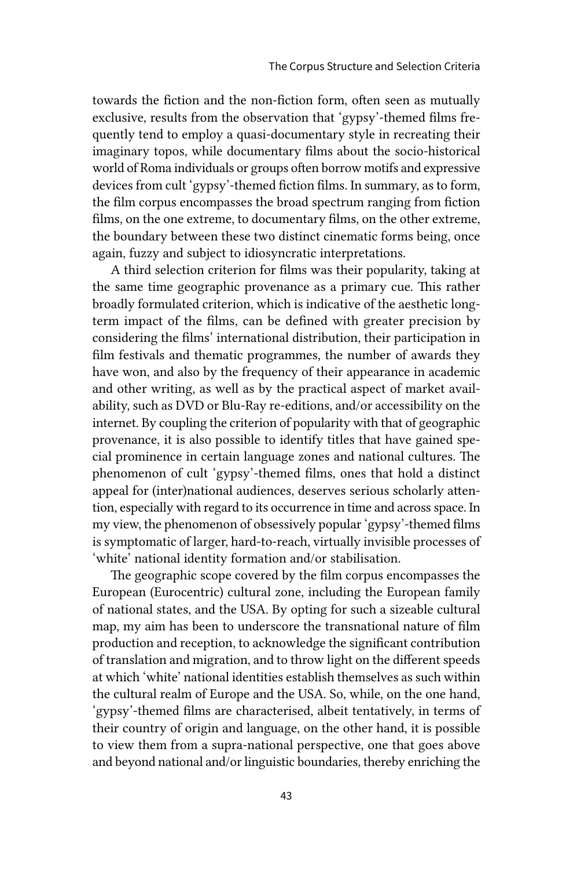towards the fiction and the non-fiction form, often seen as mutually exclusive, results from the observation that 'gypsy'-themed films frequently tend to employ a quasi-documentary style in recreating their imaginary topos, while documentary films about the socio-historical world of Roma individuals or groups often borrow motifs and expressive devices from cult 'gypsy'-themed fiction films. In summary, as to form, the film corpus encompasses the broad spectrum ranging from fiction films, on the one extreme, to documentary films, on the other extreme, the boundary between these two distinct cinematic forms being, once again, fuzzy and subject to idiosyncratic interpretations.

A third selection criterion for films was their popularity, taking at the same time geographic provenance as a primary cue. This rather broadly formulated criterion, which is indicative of the aesthetic longterm impact of the films, can be defined with greater precision by considering the films' international distribution, their participation in film festivals and thematic programmes, the number of awards they have won, and also by the frequency of their appearance in academic and other writing, as well as by the practical aspect of market availability, such as DVD or Blu-Ray re-editions, and/or accessibility on the internet. By coupling the criterion of popularity with that of geographic provenance, it is also possible to identify titles that have gained special prominence in certain language zones and national cultures. The phenomenon of cult 'gypsy'-themed films, ones that hold a distinct appeal for (inter)national audiences, deserves serious scholarly attention, especially with regard to its occurrence in time and across space. In my view, the phenomenon of obsessively popular 'gypsy'-themed films is symptomatic of larger, hard-to-reach, virtually invisible processes of 'white' national identity formation and/or stabilisation.

The geographic scope covered by the film corpus encompasses the European (Eurocentric) cultural zone, including the European family of national states, and the USA. By opting for such a sizeable cultural map, my aim has been to underscore the transnational nature of film production and reception, to acknowledge the significant contribution of translation and migration, and to throw light on the different speeds at which 'white' national identities establish themselves as such within the cultural realm of Europe and the USA. So, while, on the one hand, 'gypsy'-themed films are characterised, albeit tentatively, in terms of their country of origin and language, on the other hand, it is possible to view them from a supra-national perspective, one that goes above and beyond national and/or linguistic boundaries, thereby enriching the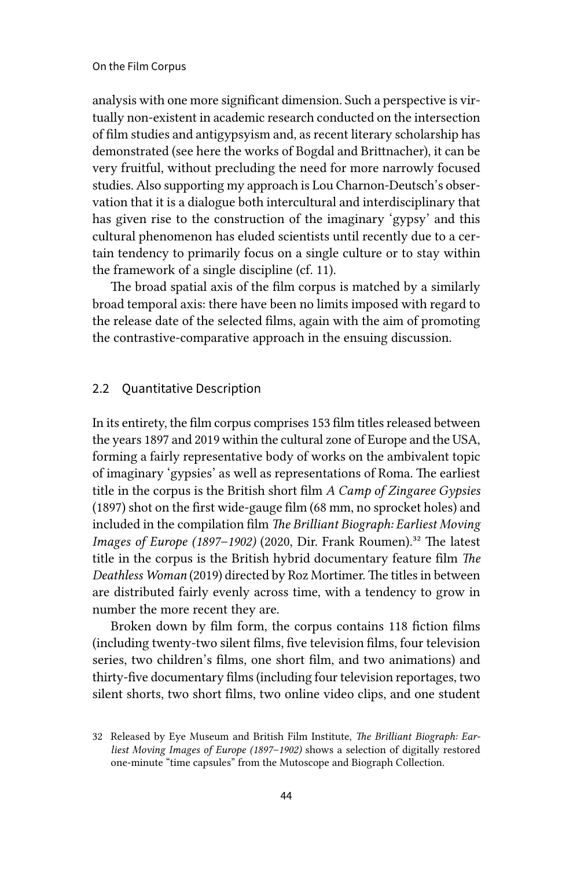analysis with one more significant dimension. Such a perspective is virtually non-existent in academic research conducted on the intersection of film studies and antigypsyism and, as recent literary scholarship has demonstrated (see here the works of Bogdal and Brittnacher), it can be very fruitful, without precluding the need for more narrowly focused studies. Also supporting my approach is Lou Charnon-Deutsch's observation that it is a dialogue both intercultural and interdisciplinary that has given rise to the construction of the imaginary 'gypsy' and this cultural phenomenon has eluded scientists until recently due to a certain tendency to primarily focus on a single culture or to stay within the framework of a single discipline (cf. 11).

The broad spatial axis of the film corpus is matched by a similarly broad temporal axis: there have been no limits imposed with regard to the release date of the selected films, again with the aim of promoting the contrastive-comparative approach in the ensuing discussion.

## 2.2 Quantitative Description

In its entirety, the film corpus comprises 153 film titles released between the years 1897 and 2019 within the cultural zone of Europe and the USA, forming a fairly representative body of works on the ambivalent topic of imaginary 'gypsies' as well as representations of Roma. The earliest title in the corpus is the British short film *A Camp of Zingaree Gypsies* (1897) shot on the first wide-gauge film (68 mm, no sprocket holes) and included in the compilation film *The Brilliant Biograph: Earliest Moving Images of Europe (1897–1902)* (2020, Dir. Frank Roumen).<sup>32</sup> The latest title in the corpus is the British hybrid documentary feature film *The Deathless Woman* (2019) directed by Roz Mortimer. The titles in between are distributed fairly evenly across time, with a tendency to grow in number the more recent they are.

Broken down by film form, the corpus contains 118 fiction films (including twenty-two silent films, five television films, four television series, two children's films, one short film, and two animations) and thirty-five documentary films (including four television reportages, two silent shorts, two short films, two online video clips, and one student

<sup>32</sup> Released by Eye Museum and British Film Institute, *The Brilliant Biograph: Earliest Moving Images of Europe (1897–1902)* shows a selection of digitally restored one-minute "time capsules" from the Mutoscope and Biograph Collection.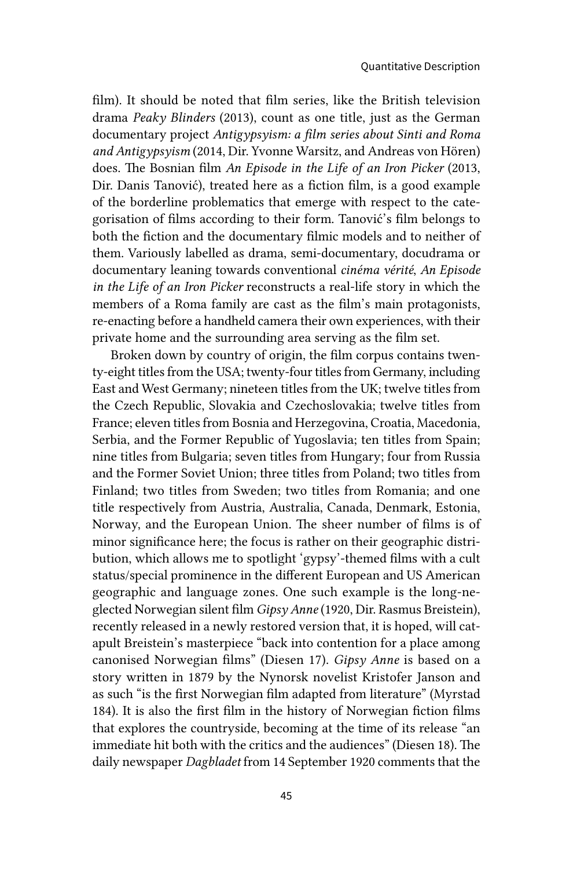film). It should be noted that film series, like the British television drama *Peaky Blinders* (2013), count as one title, just as the German documentary project *Antigypsyism: a film series about Sinti and Roma and Antigypsyism* (2014, Dir. Yvonne Warsitz, and Andreas von Hören) does. The Bosnian film *An Episode in the Life of an Iron Picker* (2013, Dir. Danis Tanović), treated here as a fiction film, is a good example of the borderline problematics that emerge with respect to the categorisation of films according to their form. Tanović's film belongs to both the fiction and the documentary filmic models and to neither of them. Variously labelled as drama, semi-documentary, docudrama or documentary leaning towards conventional *cinéma vérité*, *An Episode in the Life of an Iron Picker* reconstructs a real-life story in which the members of a Roma family are cast as the film's main protagonists, re-enacting before a handheld camera their own experiences, with their private home and the surrounding area serving as the film set.

Broken down by country of origin, the film corpus contains twenty-eight titles from the USA; twenty-four titles from Germany, including East and West Germany; nineteen titles from the UK; twelve titles from the Czech Republic, Slovakia and Czechoslovakia; twelve titles from France; eleven titles from Bosnia and Herzegovina, Croatia, Macedonia, Serbia, and the Former Republic of Yugoslavia; ten titles from Spain; nine titles from Bulgaria; seven titles from Hungary; four from Russia and the Former Soviet Union; three titles from Poland; two titles from Finland; two titles from Sweden; two titles from Romania; and one title respectively from Austria, Australia, Canada, Denmark, Estonia, Norway, and the European Union. The sheer number of films is of minor significance here; the focus is rather on their geographic distribution, which allows me to spotlight 'gypsy'-themed films with a cult status/special prominence in the different European and US American geographic and language zones. One such example is the long-neglected Norwegian silent film *Gipsy Anne* (1920, Dir. Rasmus Breistein), recently released in a newly restored version that, it is hoped, will catapult Breistein's masterpiece "back into contention for a place among canonised Norwegian films" (Diesen 17). *Gipsy Anne* is based on a story written in 1879 by the Nynorsk novelist Kristofer Janson and as such "is the first Norwegian film adapted from literature" (Myrstad 184). It is also the first film in the history of Norwegian fiction films that explores the countryside, becoming at the time of its release "an immediate hit both with the critics and the audiences" (Diesen 18). The daily newspaper *Dagbladet* from 14 September 1920 comments that the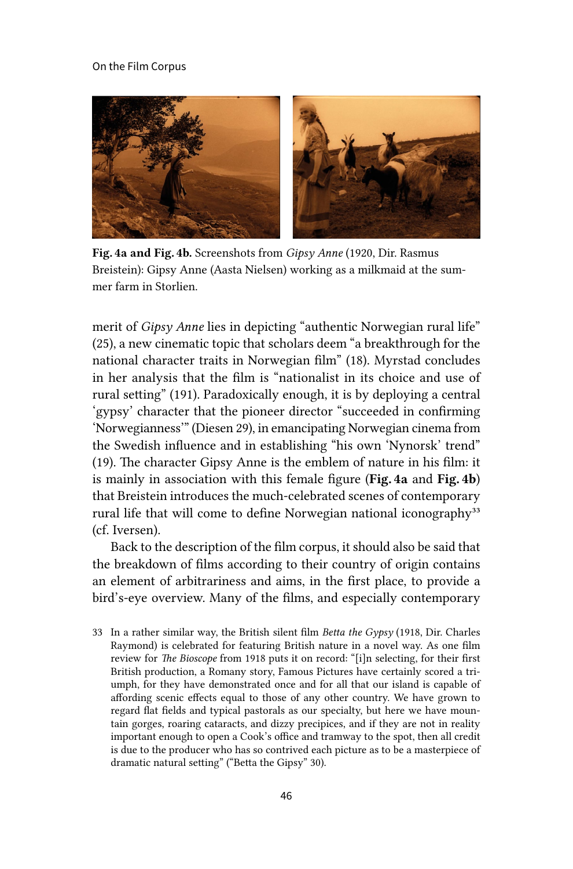

Fig. 4a and Fig. 4b. Screenshots from *Gipsy Anne* (1920, Dir. Rasmus Breistein): Gipsy Anne (Aasta Nielsen) working as a milkmaid at the summer farm in Storlien.

merit of *Gipsy Anne* lies in depicting "authentic Norwegian rural life" (25), a new cinematic topic that scholars deem "a breakthrough for the national character traits in Norwegian film" (18). Myrstad concludes in her analysis that the film is "nationalist in its choice and use of rural setting" (191). Paradoxically enough, it is by deploying a central 'gypsy' character that the pioneer director "succeeded in confirming 'Norwegianness'" (Diesen 29), in emancipating Norwegian cinema from the Swedish influence and in establishing "his own 'Nynorsk' trend" (19). The character Gipsy Anne is the emblem of nature in his film: it is mainly in association with this female figure (Fig. 4a and Fig. 4b) that Breistein introduces the much-celebrated scenes of contemporary rural life that will come to define Norwegian national iconography<sup>33</sup> (cf. Iversen).

Back to the description of the film corpus, it should also be said that the breakdown of films according to their country of origin contains an element of arbitrariness and aims, in the first place, to provide a bird's-eye overview. Many of the films, and especially contemporary

33 In a rather similar way, the British silent film *Betta the Gypsy* (1918, Dir. Charles Raymond) is celebrated for featuring British nature in a novel way. As one film review for *The Bioscope* from 1918 puts it on record: "[i]n selecting, for their first British production, a Romany story, Famous Pictures have certainly scored a triumph, for they have demonstrated once and for all that our island is capable of affording scenic effects equal to those of any other country. We have grown to regard flat fields and typical pastorals as our specialty, but here we have mountain gorges, roaring cataracts, and dizzy precipices, and if they are not in reality important enough to open a Cook's office and tramway to the spot, then all credit is due to the producer who has so contrived each picture as to be a masterpiece of dramatic natural setting" ("Betta the Gipsy" 30).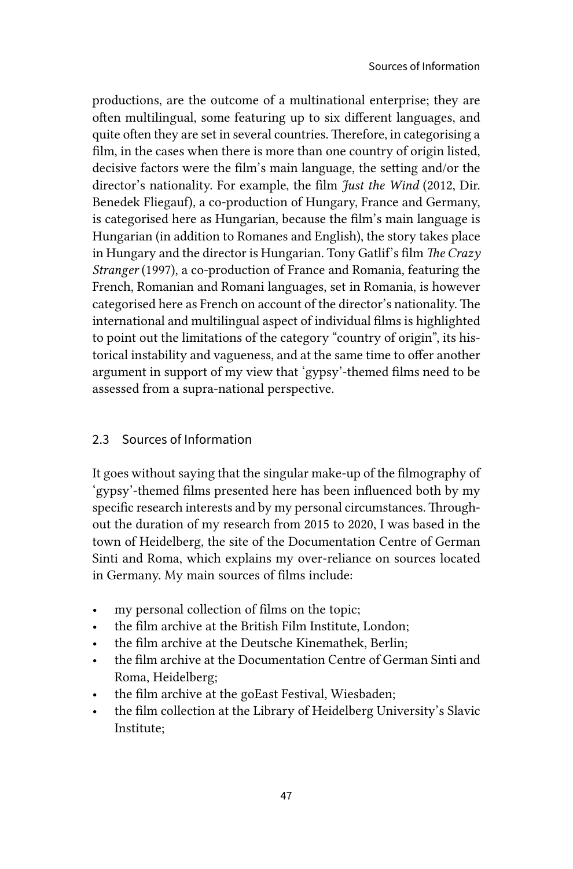productions, are the outcome of a multinational enterprise; they are often multilingual, some featuring up to six different languages, and quite often they are set in several countries. Therefore, in categorising a film, in the cases when there is more than one country of origin listed, decisive factors were the film's main language, the setting and/or the director's nationality. For example, the film *Just the Wind* (2012, Dir. Benedek Fliegauf), a co-production of Hungary, France and Germany, is categorised here as Hungarian, because the film's main language is Hungarian (in addition to Romanes and English), the story takes place in Hungary and the director is Hungarian. Tony Gatlif's film *The Crazy Stranger* (1997), a co-production of France and Romania, featuring the French, Romanian and Romani languages, set in Romania, is however categorised here as French on account of the director's nationality. The international and multilingual aspect of individual films is highlighted to point out the limitations of the category "country of origin", its historical instability and vagueness, and at the same time to offer another argument in support of my view that 'gypsy'-themed films need to be assessed from a supra-national perspective.

## 2.3 Sources of Information

It goes without saying that the singular make-up of the filmography of 'gypsy'-themed films presented here has been influenced both by my specific research interests and by my personal circumstances. Throughout the duration of my research from 2015 to 2020, I was based in the town of Heidelberg, the site of the Documentation Centre of German Sinti and Roma, which explains my over-reliance on sources located in Germany. My main sources of films include:

- my personal collection of films on the topic;
- the film archive at the British Film Institute, London;
- the film archive at the Deutsche Kinemathek, Berlin;
- the film archive at the Documentation Centre of German Sinti and Roma, Heidelberg;
- the film archive at the goEast Festival, Wiesbaden;
- the film collection at the Library of Heidelberg University's Slavic Institute;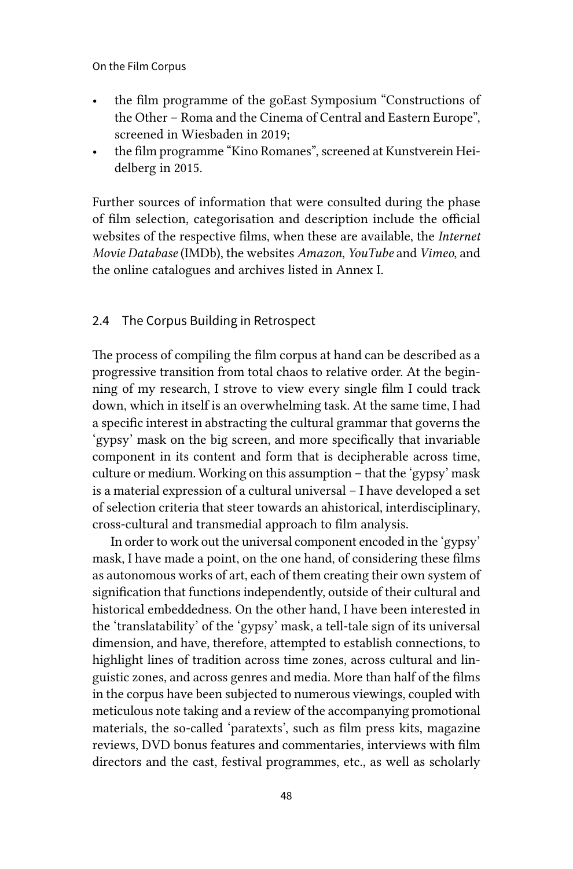- the film programme of the goEast Symposium "Constructions of the Other – Roma and the Cinema of Central and Eastern Europe", screened in Wiesbaden in 2019;
- the film programme "Kino Romanes", screened at Kunstverein Heidelberg in 2015.

Further sources of information that were consulted during the phase of film selection, categorisation and description include the official websites of the respective films, when these are available, the *Internet Movie Database* (IMDb), the websites *Amazon*, *YouTube* and *Vimeo*, and the online catalogues and archives listed in Annex I.

### 2.4 The Corpus Building in Retrospect

The process of compiling the film corpus at hand can be described as a progressive transition from total chaos to relative order. At the beginning of my research, I strove to view every single film I could track down, which in itself is an overwhelming task. At the same time, I had a specific interest in abstracting the cultural grammar that governs the 'gypsy' mask on the big screen, and more specifically that invariable component in its content and form that is decipherable across time, culture or medium. Working on this assumption – that the 'gypsy' mask is a material expression of a cultural universal – I have developed a set of selection criteria that steer towards an ahistorical, interdisciplinary, cross-cultural and transmedial approach to film analysis.

In order to work out the universal component encoded in the 'gypsy' mask, I have made a point, on the one hand, of considering these films as autonomous works of art, each of them creating their own system of signification that functions independently, outside of their cultural and historical embeddedness. On the other hand, I have been interested in the 'translatability' of the 'gypsy' mask, a tell-tale sign of its universal dimension, and have, therefore, attempted to establish connections, to highlight lines of tradition across time zones, across cultural and linguistic zones, and across genres and media. More than half of the films in the corpus have been subjected to numerous viewings, coupled with meticulous note taking and a review of the accompanying promotional materials, the so-called 'paratexts', such as film press kits, magazine reviews, DVD bonus features and commentaries, interviews with film directors and the cast, festival programmes, etc., as well as scholarly